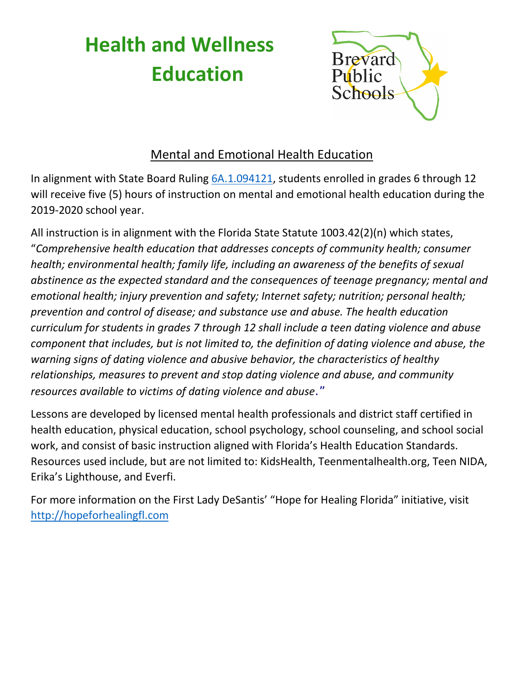## **Health and Wellness Education**



## Mental and Emotional Health Education

In alignment with State Board Ruling [6A.1.094121,](https://www.flrules.org/gateway/ruleNo.asp?id=6A-1.094121) students enrolled in grades 6 through 12 will receive five (5) hours of instruction on mental and emotional health education during the 2019-2020 school year.

All instruction is in alignment with the Florida State Statute 1003.42(2)(n) which states, "*Comprehensive health education that addresses concepts of community health; consumer health; environmental health; family life, including an awareness of the benefits of sexual abstinence as the expected standard and the consequences of teenage pregnancy; mental and emotional health; injury prevention and safety; Internet safety; nutrition; personal health; prevention and control of disease; and substance use and abuse. The health education curriculum for students in grades 7 through 12 shall include a teen dating violence and abuse component that includes, but is not limited to, the definition of dating violence and abuse, the warning signs of dating violence and abusive behavior, the characteristics of healthy relationships, measures to prevent and stop dating violence and abuse, and community resources available to victims of dating violence and abuse*."

Lessons are developed by licensed mental health professionals and district staff certified in health education, physical education, school psychology, school counseling, and school social work, and consist of basic instruction aligned with Florida's Health Education Standards. Resources used include, but are not limited to: KidsHealth, Teenmentalhealth.org, Teen NIDA, Erika's Lighthouse, and Everfi.

For more information on the First Lady DeSantis' "Hope for Healing Florida" initiative, visit [http://hopeforhealingfl.com](http://hopeforhealingfl.com/)